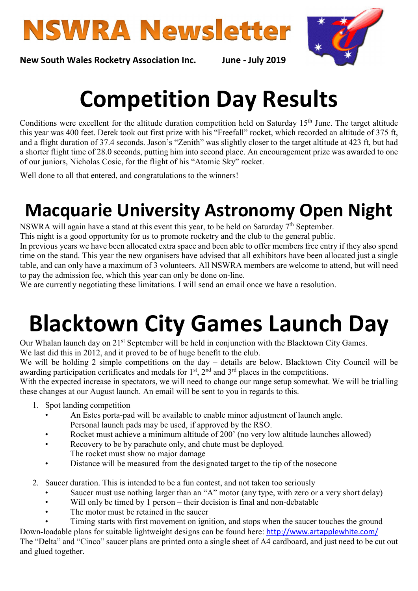



New South Wales Rocketry Association Inc. June - July 2019

## Competition Day Results

Conditions were excellent for the altitude duration competition held on Saturday 15<sup>th</sup> June. The target altitude this year was 400 feet. Derek took out first prize with his "Freefall" rocket, which recorded an altitude of 375 ft, and a flight duration of 37.4 seconds. Jason's "Zenith" was slightly closer to the target altitude at 423 ft, but had a shorter flight time of 28.0 seconds, putting him into second place. An encouragement prize was awarded to one of our juniors, Nicholas Cosic, for the flight of his "Atomic Sky" rocket.

Well done to all that entered, and congratulations to the winners!

### Macquarie University Astronomy Open Night

NSWRA will again have a stand at this event this year, to be held on Saturday  $7<sup>th</sup>$  September.

This night is a good opportunity for us to promote rocketry and the club to the general public.

In previous years we have been allocated extra space and been able to offer members free entry if they also spend time on the stand. This year the new organisers have advised that all exhibitors have been allocated just a single table, and can only have a maximum of 3 volunteers. All NSWRA members are welcome to attend, but will need to pay the admission fee, which this year can only be done on-line.

We are currently negotiating these limitations. I will send an email once we have a resolution.

# Blacktown City Games Launch Day

Our Whalan launch day on 21<sup>st</sup> September will be held in conjunction with the Blacktown City Games. We last did this in 2012, and it proved to be of huge benefit to the club.

We will be holding 2 simple competitions on the day – details are below. Blacktown City Council will be awarding participation certificates and medals for  $1<sup>st</sup>$ ,  $2<sup>nd</sup>$  and  $3<sup>rd</sup>$  places in the competitions.

With the expected increase in spectators, we will need to change our range setup somewhat. We will be trialling these changes at our August launch. An email will be sent to you in regards to this.

- 1. Spot landing competition
	- An Estes porta-pad will be available to enable minor adjustment of launch angle. Personal launch pads may be used, if approved by the RSO.
	- Rocket must achieve a minimum altitude of 200' (no very low altitude launches allowed)
	- Recovery to be by parachute only, and chute must be deployed.
	- The rocket must show no major damage
	- Distance will be measured from the designated target to the tip of the nosecone
- 2. Saucer duration. This is intended to be a fun contest, and not taken too seriously
	- Saucer must use nothing larger than an "A" motor (any type, with zero or a very short delay)
	- Will only be timed by 1 person their decision is final and non-debatable
	- The motor must be retained in the saucer
- Timing starts with first movement on ignition, and stops when the saucer touches the ground Down-loadable plans for suitable lightweight designs can be found here: http://www.artapplewhite.com/

The "Delta" and "Cinco" saucer plans are printed onto a single sheet of A4 cardboard, and just need to be cut out and glued together.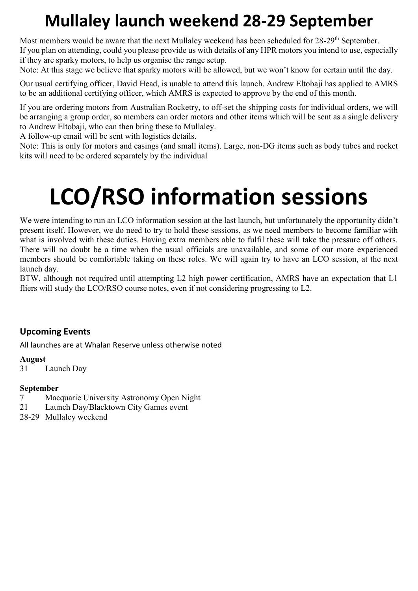### Mullaley launch weekend 28-29 September

Most members would be aware that the next Mullaley weekend has been scheduled for 28-29<sup>th</sup> September. If you plan on attending, could you please provide us with details of any HPR motors you intend to use, especially if they are sparky motors, to help us organise the range setup.

Note: At this stage we believe that sparky motors will be allowed, but we won't know for certain until the day.

Our usual certifying officer, David Head, is unable to attend this launch. Andrew Eltobaji has applied to AMRS to be an additional certifying officer, which AMRS is expected to approve by the end of this month.

If you are ordering motors from Australian Rocketry, to off-set the shipping costs for individual orders, we will be arranging a group order, so members can order motors and other items which will be sent as a single delivery to Andrew Eltobaji, who can then bring these to Mullaley.

A follow-up email will be sent with logistics details.

Note: This is only for motors and casings (and small items). Large, non-DG items such as body tubes and rocket kits will need to be ordered separately by the individual

### LCO/RSO information sessions

We were intending to run an LCO information session at the last launch, but unfortunately the opportunity didn't present itself. However, we do need to try to hold these sessions, as we need members to become familiar with what is involved with these duties. Having extra members able to fulfil these will take the pressure off others. There will no doubt be a time when the usual officials are unavailable, and some of our more experienced members should be comfortable taking on these roles. We will again try to have an LCO session, at the next launch day.

BTW, although not required until attempting L2 high power certification, AMRS have an expectation that L1 fliers will study the LCO/RSO course notes, even if not considering progressing to L2.

#### Upcoming Events

All launches are at Whalan Reserve unless otherwise noted

#### August

31 Launch Day

#### September

- 7 Macquarie University Astronomy Open Night
- 21 Launch Day/Blacktown City Games event
- 28-29 Mullaley weekend